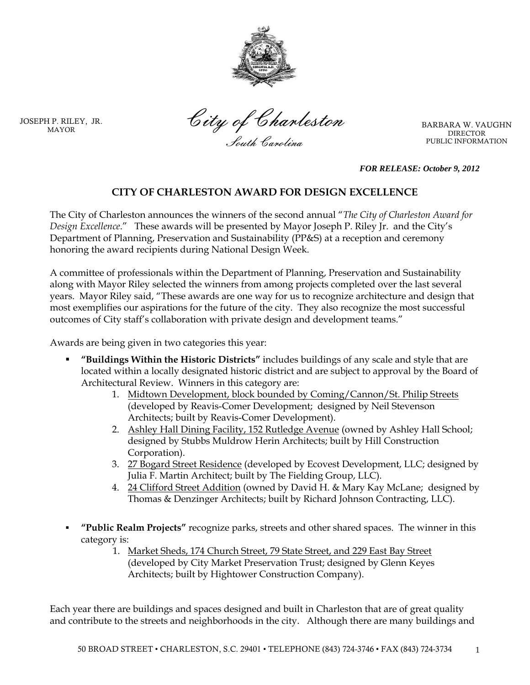

JOSEPH P. RILEY, JR. MAYOR

City of Charleston South Carolina

BARBARA W. VAUGHN DIRECTOR PUBLIC INFORMATION

*FOR RELEASE: October 9, 2012*

## **CITY OF CHARLESTON AWARD FOR DESIGN EXCELLENCE**

The City of Charleston announces the winners of the second annual "*The City of Charleston Award for Design Excellence*." These awards will be presented by Mayor Joseph P. Riley Jr. and the City's Department of Planning, Preservation and Sustainability (PP&S) at a reception and ceremony honoring the award recipients during National Design Week.

A committee of professionals within the Department of Planning, Preservation and Sustainability along with Mayor Riley selected the winners from among projects completed over the last several years. Mayor Riley said, "These awards are one way for us to recognize architecture and design that most exemplifies our aspirations for the future of the city. They also recognize the most successful outcomes of City staff's collaboration with private design and development teams."

Awards are being given in two categories this year:

- **"Buildings Within the Historic Districts"** includes buildings of any scale and style that are located within a locally designated historic district and are subject to approval by the Board of Architectural Review. Winners in this category are:
	- 1. Midtown Development, block bounded by Coming/Cannon/St. Philip Streets (developed by Reavis-Comer Development; designed by Neil Stevenson Architects; built by Reavis-Comer Development).
	- 2. Ashley Hall Dining Facility, 152 Rutledge Avenue (owned by Ashley Hall School; designed by Stubbs Muldrow Herin Architects; built by Hill Construction Corporation).
	- 3. 27 Bogard Street Residence (developed by Ecovest Development, LLC; designed by Julia F. Martin Architect; built by The Fielding Group, LLC).
	- 4. 24 Clifford Street Addition (owned by David H. & Mary Kay McLane; designed by Thomas & Denzinger Architects; built by Richard Johnson Contracting, LLC).
- **"Public Realm Projects"** recognize parks, streets and other shared spaces. The winner in this category is:
	- 1. Market Sheds, 174 Church Street, 79 State Street, and 229 East Bay Street (developed by City Market Preservation Trust; designed by Glenn Keyes Architects; built by Hightower Construction Company).

Each year there are buildings and spaces designed and built in Charleston that are of great quality and contribute to the streets and neighborhoods in the city. Although there are many buildings and